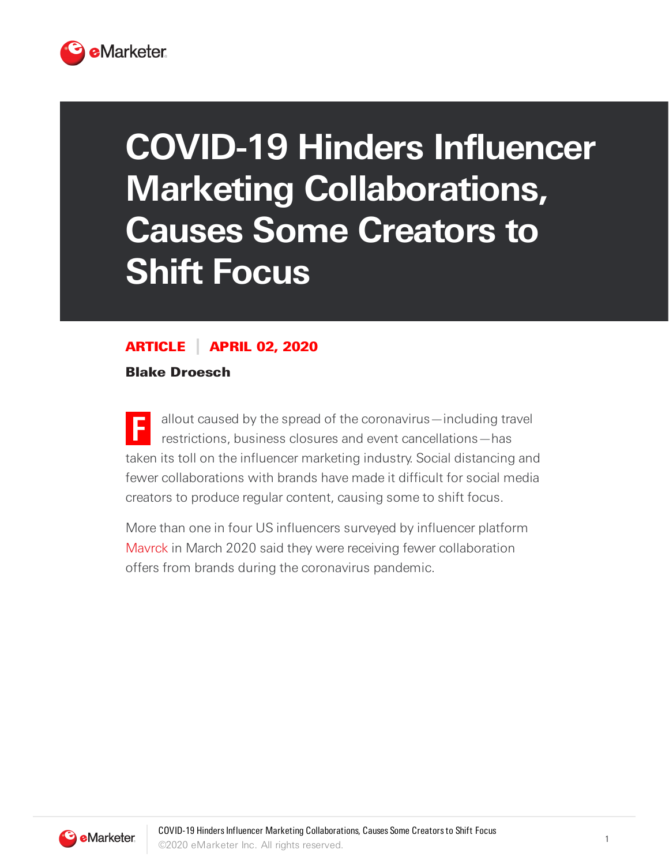

## **COVID-19 Hinders Influencer Marketing Collaborations, Causes Some Creators to Shift Focus**

## ARTICLE APRIL 02, 2020

Blake Droesch

**F** allout caused by the spread of the coronavirus—including travel restrictions, business closures and event cancellations—has taken its toll on the influencer marketing industry. Social distancing and fewer collaborations with brands have made it difficult for social media creators to produce regular content, causing some to shift focus.

More than one in four US influencers surveyed by influencer platform [Mavrck](https://www.mavrck.co/) in March 2020 said they were receiving fewer collaboration offers from brands during the coronavirus pandemic.

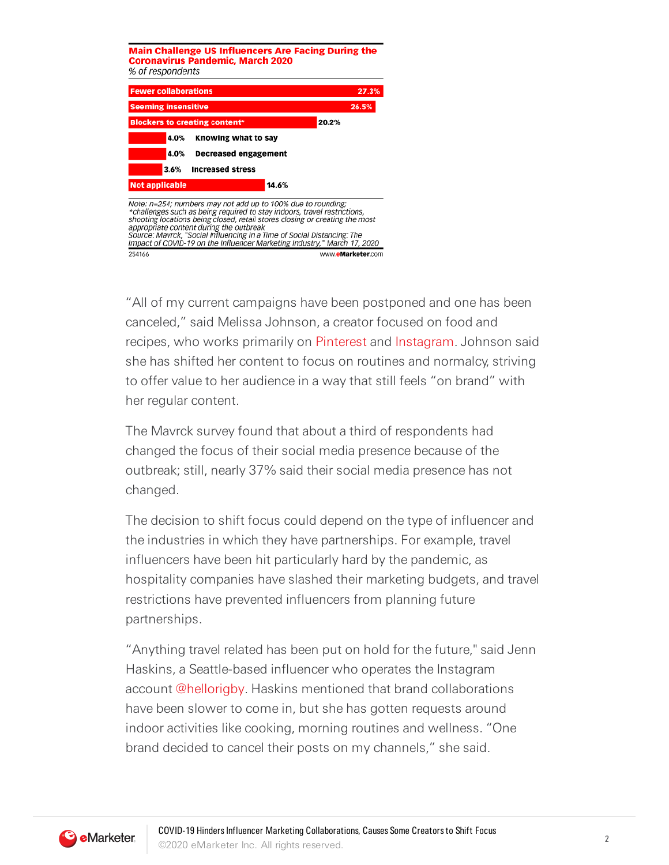

"All of my current campaigns have been postponed and one has been canceled," said Melissa Johnson, a creator focused on food and recipes, who works primarily on [Pinterest](https://www.pinterest.com/bf4frosting/) and [Instagram.](https://www.instagram.com/bestfriendsforfrosting/) Johnson said she has shifted her content to focus on routines and normalcy, striving to offer value to her audience in a way that still feels "on brand" with her regular content.

The Mavrck survey found that about a third of respondents had changed the focus of their social media presence because of the outbreak; still, nearly 37% said their social media presence has not changed.

The decision to shift focus could depend on the type of influencer and the industries in which they have partnerships. For example, travel influencers have been hit particularly hard by the pandemic, as hospitality companies have slashed their marketing budgets, and travel restrictions have prevented influencers from planning future partnerships.

"Anything travel related has been put on hold for the future," said Jenn Haskins, a Seattle-based influencer who operates the Instagram account [@hellorigby.](https://www.instagram.com/hellorigby/) Haskins mentioned that brand collaborations have been slower to come in, but she has gotten requests around indoor activities like cooking, morning routines and wellness. "One brand decided to cancel their posts on my channels," she said.